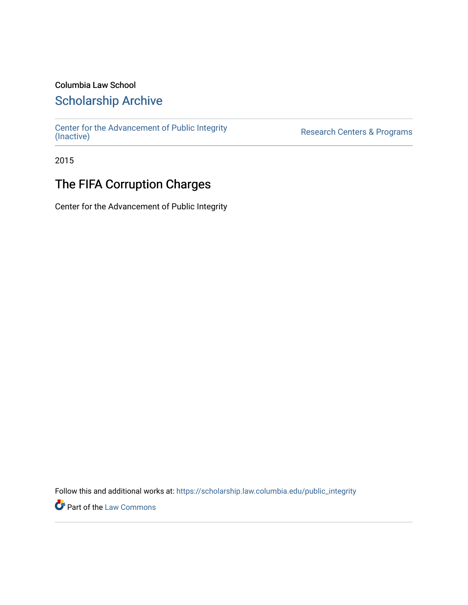### Columbia Law School

## [Scholarship Archive](https://scholarship.law.columbia.edu/)

[Center for the Advancement of Public Integrity](https://scholarship.law.columbia.edu/public_integrity)<br>(Inactive)

Research Centers & Programs

2015

# The FIFA Corruption Charges

Center for the Advancement of Public Integrity

Follow this and additional works at: [https://scholarship.law.columbia.edu/public\\_integrity](https://scholarship.law.columbia.edu/public_integrity?utm_source=scholarship.law.columbia.edu%2Fpublic_integrity%2F102&utm_medium=PDF&utm_campaign=PDFCoverPages)

**Part of the [Law Commons](http://network.bepress.com/hgg/discipline/578?utm_source=scholarship.law.columbia.edu%2Fpublic_integrity%2F102&utm_medium=PDF&utm_campaign=PDFCoverPages)**